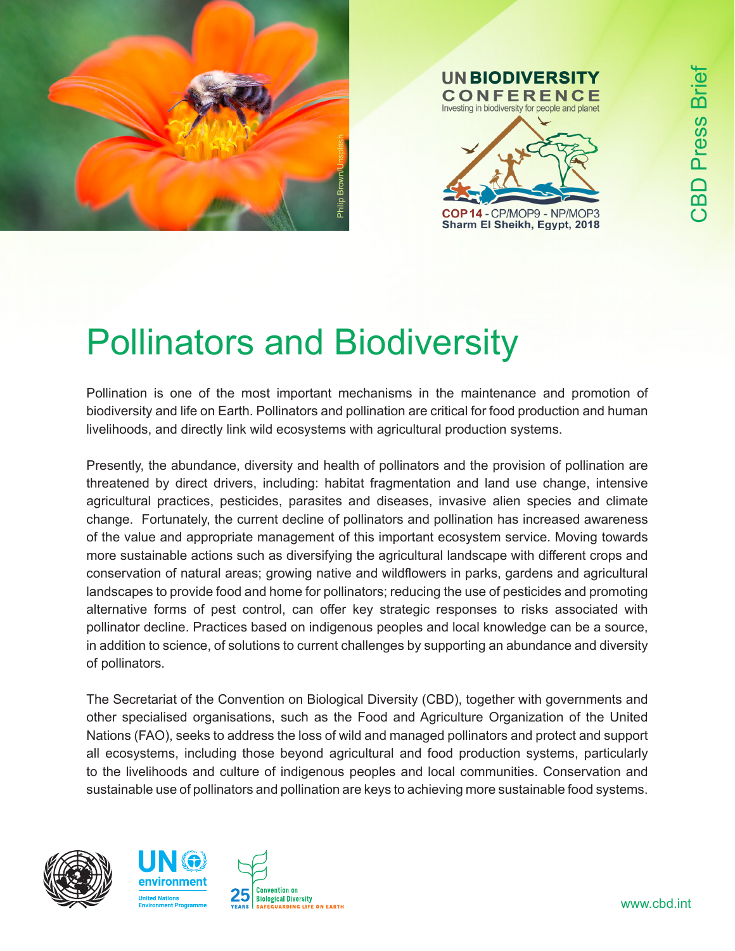

## **UN BIODIVERSITY CONFERENCE** Investing in biodiversity for people and planet

# E COP14-CP/MOP9-NP/MOP3<br>
Sharm El Sheikh, Egypt, 2018<br>
Pollinators and Biodiversity

Pollination is one of the most important mechanisms in the maintenance and promotion of biodiversity and life on Earth. Pollinators and pollination are critical for food production and human livelihoods, and directly link wild ecosystems with agricultural production systems.

Presently, the abundance, diversity and health of pollinators and the provision of pollination are threatened by direct drivers, including: habitat fragmentation and land use change, intensive agricultural practices, pesticides, parasites and diseases, invasive alien species and climate change. Fortunately, the current decline of pollinators and pollination has increased awareness of the value and appropriate management of this important ecosystem service. Moving towards more sustainable actions such as diversifying the agricultural landscape with different crops and conservation of natural areas; growing native and wildflowers in parks, gardens and agricultural landscapes to provide food and home for pollinators; reducing the use of pesticides and promoting alternative forms of pest control, can offer key strategic responses to risks associated with pollinator decline. Practices based on indigenous peoples and local knowledge can be a source, in addition to science, of solutions to current challenges by supporting an abundance and diversity of pollinators.

The Secretariat of the Convention on Biological Diversity (CBD), together with governments and other specialised organisations, such as the Food and Agriculture Organization of the United Nations (FAO), seeks to address the loss of wild and managed pollinators and protect and support all ecosystems, including those beyond agricultural and food production systems, particularly to the livelihoods and culture of indigenous peoples and local communities. Conservation and sustainable use of pollinators and pollination are keys to achieving more sustainable food systems.